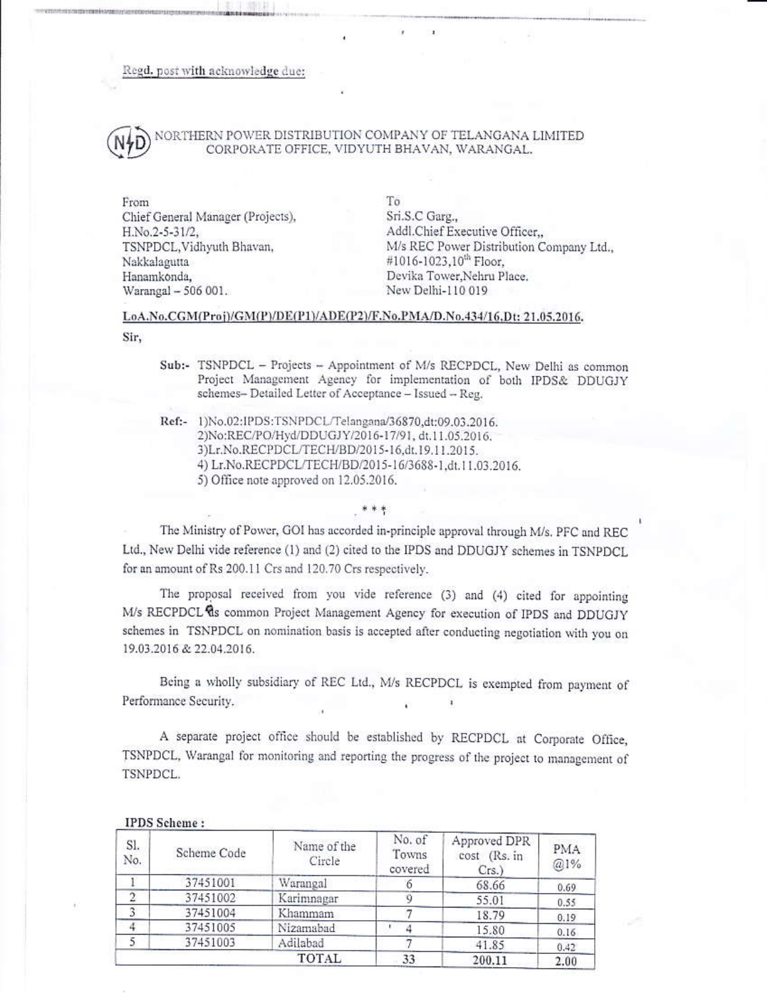Regd. post with acknowledge due:

# NORTHERN POWER DISTRIBUTION COMPANY OF TELANGANA LIMITED CORPORATE OFFICE, VIDYUTH BHAVAN, WARANGAL,

From Chief General Manager (Projects), H.No.2-5-31/2, TSNPDCL, Vidhyuth Bhavan, Nakkalagutta Hanamkonda, Warangal - 506 001.

To Sri.S.C Garg., Addl.Chief Executive Officer,, M/s REC Power Distribution Company Ltd., #1016-1023.10<sup>th</sup> Floor. Devika Tower, Nehru Place, New Delhi-110 019

### LoA.No.CGM(Proj)/GM(P)/DE(P1)/ADE(P2)/F.No.PMA/D.No.434/16.Dt: 21.05.2016.

Sir,

- Sub:- TSNPDCL Projects Appointment of M/s RECPDCL, New Delhi as common Project Management Agency for implementation of both IPDS& DDUGJY schemes- Detailed Letter of Acceptance - Issued - Reg.
- Ref:- 1)No.02:IPDS:TSNPDCL/Telangana/36870,dt:09.03.2016. 2)No:REC/PO/Hyd/DDUGJY/2016-17/91, dt.11.05.2016. 3)Lr.No.RECPDCL/TECH/BD/2015-16,dt.19.11.2015. 4) Lr.No.RECPDCL/TECH/BD/2015-16/3688-1.dt.11.03.2016. 5) Office note approved on 12.05.2016.

The Ministry of Power, GOI has accorded in-principle approval through M/s. PFC and REC Ltd., New Delhi vide reference (1) and (2) cited to the IPDS and DDUGJY schemes in TSNPDCL for an amount of Rs 200.11 Crs and 120.70 Crs respectively.

The proposal received from you vide reference (3) and (4) cited for appointing M/s RECPDCL as common Project Management Agency for execution of IPDS and DDUGJY schemes in TSNPDCL on nomination basis is accepted after conducting negotiation with you on 19.03.2016 & 22.04.2016.

Being a wholly subsidiary of REC Ltd., M/s RECPDCL is exempted from payment of Performance Security.

A separate project office should be established by RECPDCL at Corporate Office, TSNPDCL, Warangal for monitoring and reporting the progress of the project to management of TSNPDCL.

| Sl.<br>No. | Scheme Code | Name of the<br>Circle | No. of<br>Towns<br>covered | Approved DPR<br>cost (Rs. in<br>$Crs.$ ) | PMA<br>@1% |
|------------|-------------|-----------------------|----------------------------|------------------------------------------|------------|
|            | 37451001    | Warangal              |                            | 68.66                                    | 0.69       |
| э          | 37451002    | Karimnagar            |                            | 55.01                                    | 0.55       |
| 3          | 37451004    | Khammam               |                            | 18.79                                    | 0.19       |
|            | 37451005    | Nizamabad             |                            | 15.80                                    | 0.16       |
|            | 37451003    | Adilabad              |                            | 41.85                                    | 0.42       |
| TOTAL      |             |                       | 33                         | 200.11                                   | 2.00       |

# **IPDS** Scheme: